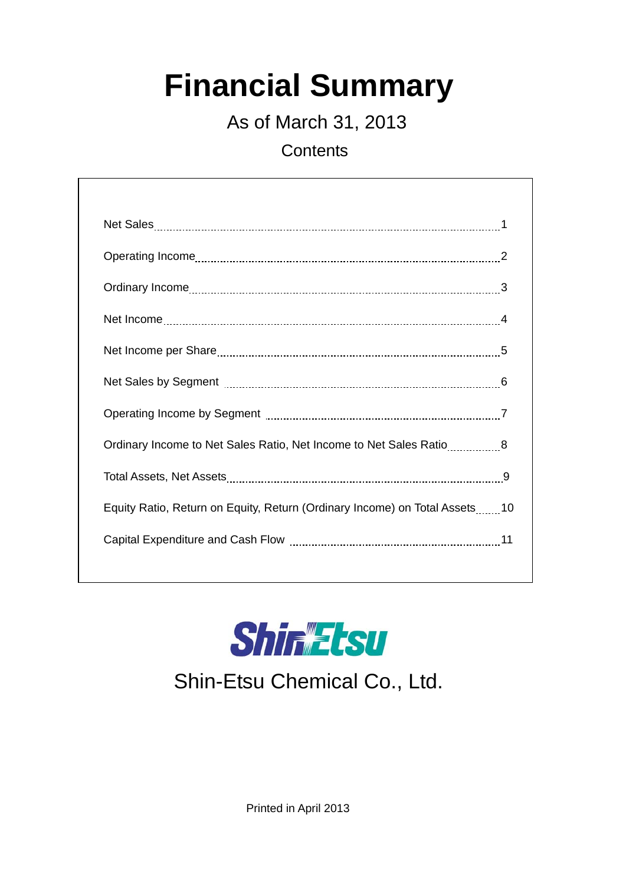# **Financial Summary**

As of March 31, 2013

**Contents** 

| Ordinary Income to Net Sales Ratio, Net Income to Net Sales Ratio8         |  |
|----------------------------------------------------------------------------|--|
|                                                                            |  |
| Equity Ratio, Return on Equity, Return (Ordinary Income) on Total Assets10 |  |
|                                                                            |  |
|                                                                            |  |



## Shin-Etsu Chemical Co., Ltd.

Printed in April 2013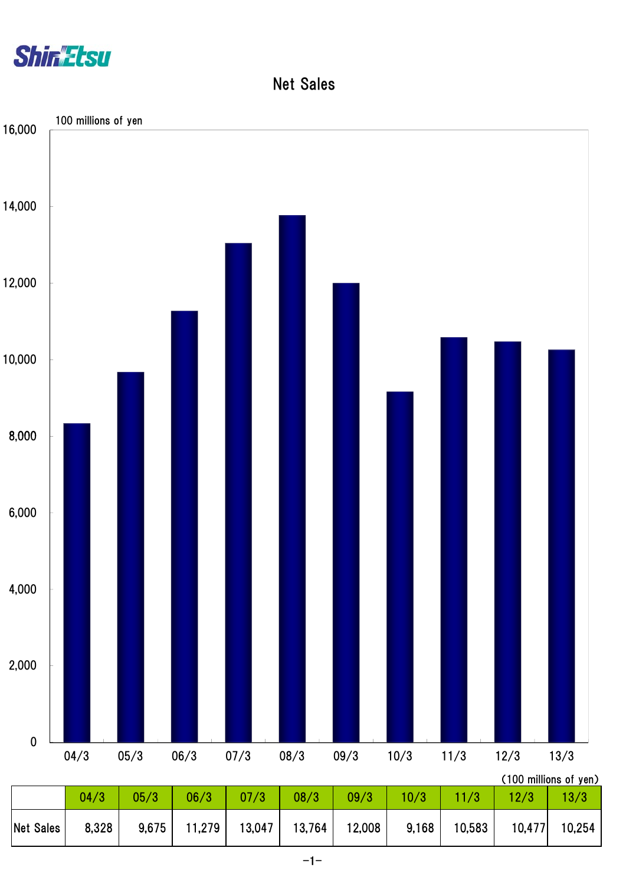

Net Sales

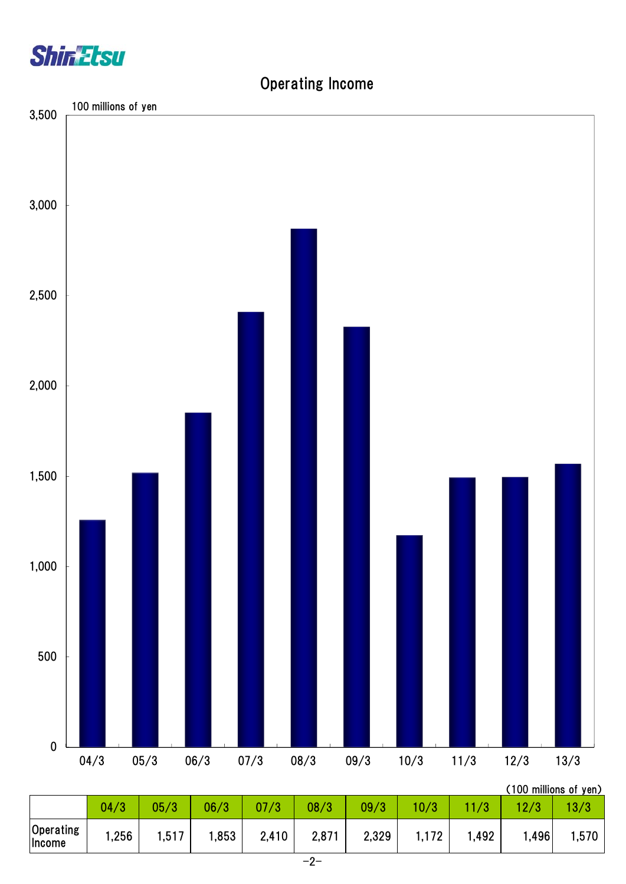

### Operating Income

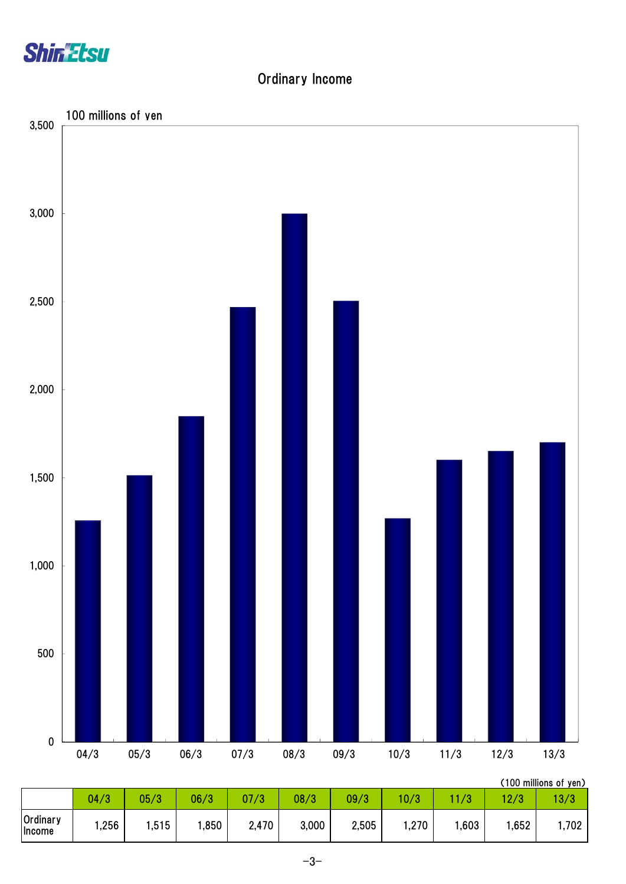

#### Ordinary Income



|                    |      |      |      |       |       |       |      |      |      | , IUU IIIIIIIUIIS UI YUII <i>I</i> |
|--------------------|------|------|------|-------|-------|-------|------|------|------|------------------------------------|
|                    | 04/3 | 05/3 | 06/3 | 07/3  | 08/3  | 09/3  | 10/3 | /3   | 12/3 | 13/3                               |
| Ordinary<br>Income | ,256 | ,515 | ,850 | 2,470 | 3,000 | 2,505 | ,270 | ,603 | ,652 | ,702                               |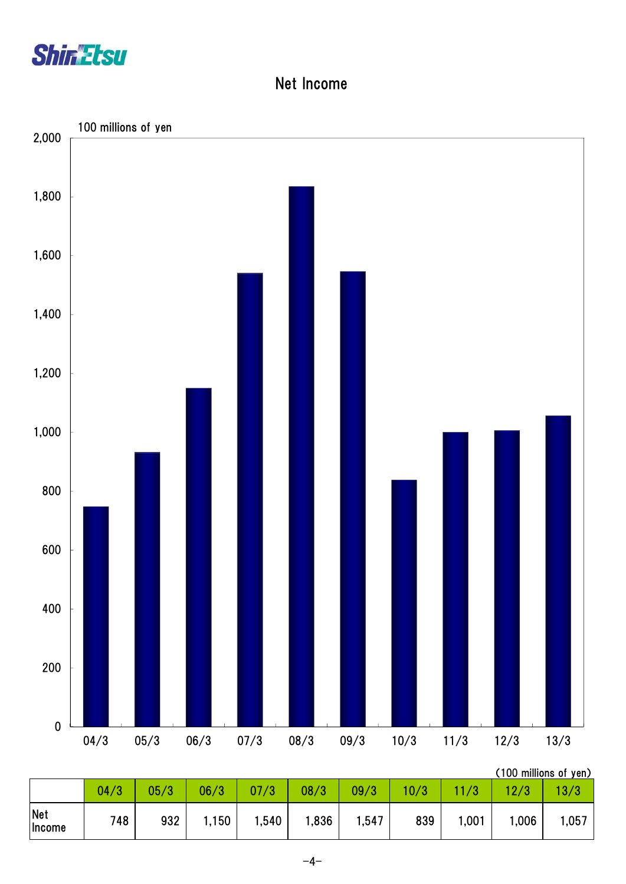

#### Net Income

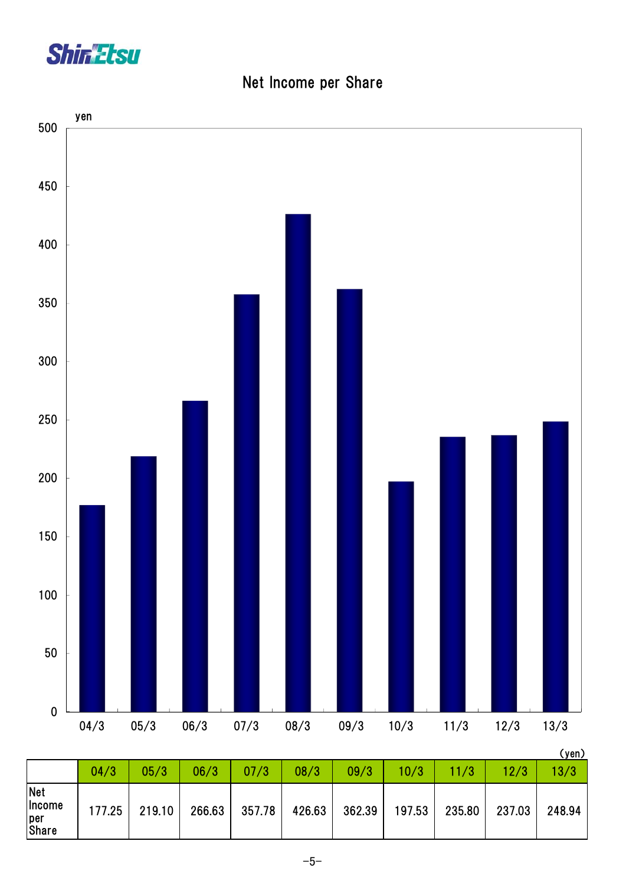

|  | Net Income per Share |  |  |
|--|----------------------|--|--|
|--|----------------------|--|--|



|                                                    |        |        |        |        |        |        |        |        |        | $\lambda$ , $\lambda$ , $\lambda$ , $\lambda$ |
|----------------------------------------------------|--------|--------|--------|--------|--------|--------|--------|--------|--------|-----------------------------------------------|
|                                                    | 04/3   | 05/3   | 06/3   | 07/3   | 08/3   | 09/3   | 10/3   | 11/3   | 12/3   | 13/3                                          |
| <b>Net</b><br><b>Income</b><br>per<br><b>Share</b> | 177.25 | 219.10 | 266.63 | 357.78 | 426.63 | 362.39 | 197.53 | 235.80 | 237.03 | 248.94                                        |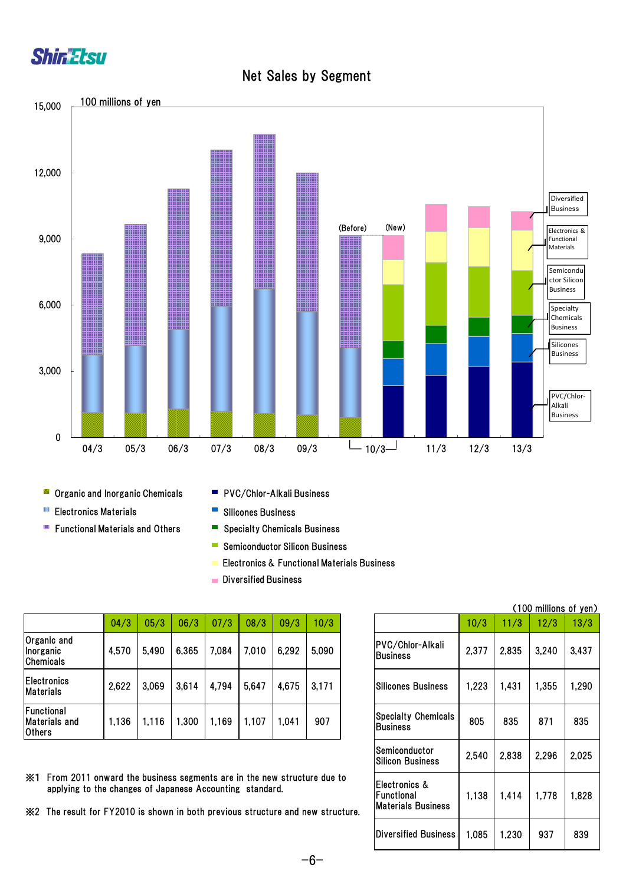



Net Sales by Segment

- **Organic and Inorganic Chemicals**
- **Electronics Materials**
- **Functional Materials and Others**
- PVC/Chlor-Alkali Business
- $\mathbb{R}^2$ Silicones Business
- $\blacksquare$ Specialty Chemicals Business
- **Semiconductor Silicon Business**
- Electronics & Functional Materials Business
- **Diversified Business**

|                                                     | 04/3  | 05/3  | 06/3  | 07/3  | 08/3  | 09/3  | 10/3  |                                               | 10/3  | 11/3  | 12/3  | 13/3  |
|-----------------------------------------------------|-------|-------|-------|-------|-------|-------|-------|-----------------------------------------------|-------|-------|-------|-------|
| Organic and<br>Inorganic<br><b>Chemicals</b>        | 4,570 | 5,490 | 6,365 | 7,084 | 7,010 | 6,292 | 5,090 | PVC/Chlor-Alkali<br><b>Business</b>           | 2,377 | 2,835 | 3,240 | 3,437 |
| <b>Electronics</b><br><b>Materials</b>              | 2,622 | 3,069 | 3,614 | 4,794 | 5,647 | 4,675 | 3,171 | <b>Silicones Business</b>                     | ,223  | 1,431 | 1,355 | ,290  |
| Functional<br><b>Materials and</b><br><b>Others</b> | 1,136 | 1,116 | ,300  | 1,169 | 1,107 | 1,041 | 907   | <b>Specialty Chemicals</b><br><b>Business</b> | 805   | 835   | 871   | 835   |

※1 From 2011 onward the business segments are in the new structure due to applying to the changes of Japanese Accounting standard.

※2 The result for FY2010 is shown in both previous structure and new structure.

| (100 millions of yen)                                    |       |       |       |       |  |  |  |  |  |  |
|----------------------------------------------------------|-------|-------|-------|-------|--|--|--|--|--|--|
|                                                          | 10/3  | 11/3  | 12/3  | 13/3  |  |  |  |  |  |  |
| PVC/Chlor-Alkali<br><b>Business</b>                      | 2,377 | 2.835 | 3,240 | 3,437 |  |  |  |  |  |  |
| <b>Silicones Business</b>                                | 1,223 | 1,431 | 1,355 | 1,290 |  |  |  |  |  |  |
| <b>Specialty Chemicals</b><br><b>Business</b>            | 805   | 835   | 871   | 835   |  |  |  |  |  |  |
| Semiconductor<br><b>Silicon Business</b>                 | 2,540 | 2,838 | 2,296 | 2,025 |  |  |  |  |  |  |
| Electronics &<br>Functional<br><b>Materials Business</b> | 1.138 | 1,414 | 1,778 | 1,828 |  |  |  |  |  |  |
| Diversified Business                                     | 1,085 | 1,230 | 937   | 839   |  |  |  |  |  |  |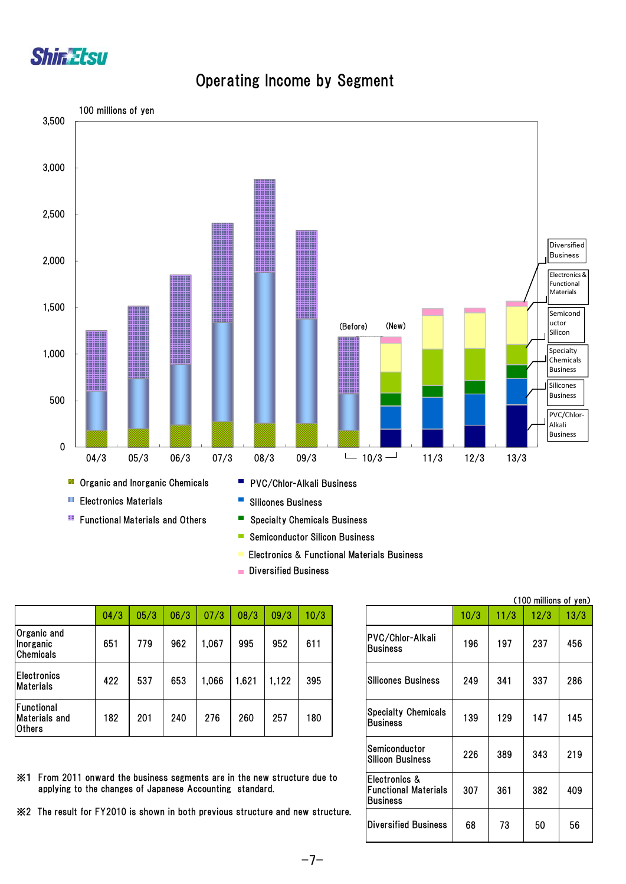

#### Operating Income by Segment



- Semiconductor Silicon Business  $\overline{\phantom{a}}$
- Electronics & Functional Materials Business
- **Diversified Business**

|                                              |      |      |      |       |      |       |      |                                               |      |      | A LOO THILLIONS OF JUL |      |
|----------------------------------------------|------|------|------|-------|------|-------|------|-----------------------------------------------|------|------|------------------------|------|
|                                              | 04/3 | 05/3 | 06/3 | 07/3  | 08/3 | 09/3  | 10/3 |                                               | 10/3 | 11/3 | 12/3                   | 13/3 |
| Organic and<br>Inorganic<br><b>Chemicals</b> | 651  | 779  | 962  | 1,067 | 995  | 952   | 611  | PVC/Chlor-Alkali<br><b>Business</b>           | 196  | 197  | 237                    | 456  |
| <b>Electronics</b><br><b>Materials</b>       | 422  | 537  | 653  | 0.066 | ,621 | 1,122 | 395  | <b>Silicones Business</b>                     | 249  | 341  | 337                    | 286  |
| Functional<br>Materials and<br>Others        | 182  | 201  | 240  | 276   | 260  | 257   | 180  | <b>Specialty Chemicals</b><br><b>Business</b> | 139  | 129  | 147                    | 145  |

182 201 240 276 260 257 180 139 129 147 145 226 389 343 219 307 361 382 409 68 73 50 56 Semiconductor Silicon Business Electronics & Functional Materials **Business** Diversified Business Silicones Business Specialty Chemicals Business

(100 millions of yen)

| ※1 From 2011 onward the business segments are in the new structure due to |
|---------------------------------------------------------------------------|
| applying to the changes of Japanese Accounting standard.                  |

※2 The result for FY2010 is shown in both previous structure and new structure.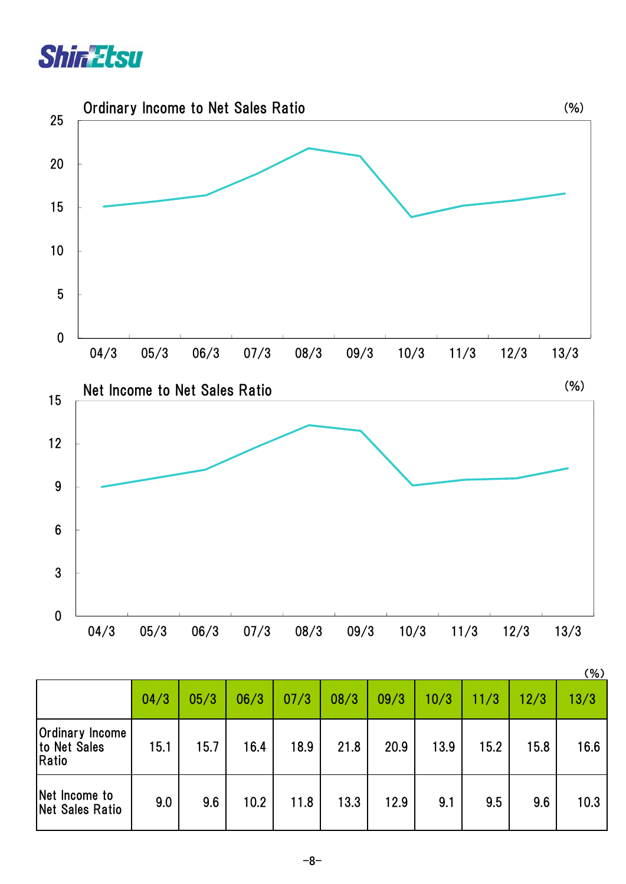



|                                                 |      |      |      |      |      |      |      |      |      | (% ) |
|-------------------------------------------------|------|------|------|------|------|------|------|------|------|------|
|                                                 | 04/3 | 05/3 | 06/3 | 07/3 | 08/3 | 09/3 | 10/3 | 11/3 | 12/3 | 13/3 |
| <b>Ordinary Income</b><br>to Net Sales<br>Ratio | 15.1 | 15.7 | 16.4 | 18.9 | 21.8 | 20.9 | 13.9 | 15.2 | 15.8 | 16.6 |
| Net Income to<br>Net Sales Ratio                | 9.0  | 9.6  | 10.2 | 11.8 | 13.3 | 12.9 | 9.1  | 9.5  | 9.6  | 10.3 |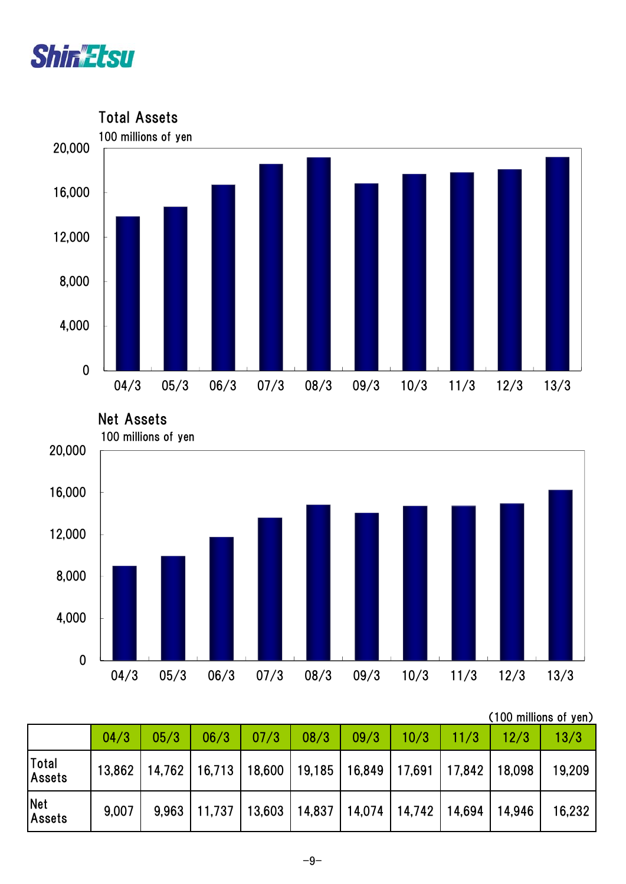







|                             |       |                 |        |                                   |                          |      |        |                 |        | (100 millions of yen) |
|-----------------------------|-------|-----------------|--------|-----------------------------------|--------------------------|------|--------|-----------------|--------|-----------------------|
|                             | 04/3  | 05/3            | 06/3   | 07/3                              | 08/3                     | 09/3 | 10/3   | 11/3            | 12/3   | 13/3                  |
| Total<br>Assets             |       | 13,862   14,762 |        | 16,713   18,600   19,185   16,849 |                          |      | 17,691 | 17,842   18,098 |        | 19,209                |
| <b>Net</b><br><b>Assets</b> | 9,007 | 9.963           | 11,737 |                                   | 13,603   14,837   14,074 |      | 14,742 | 14,694          | 14,946 | 16,232                |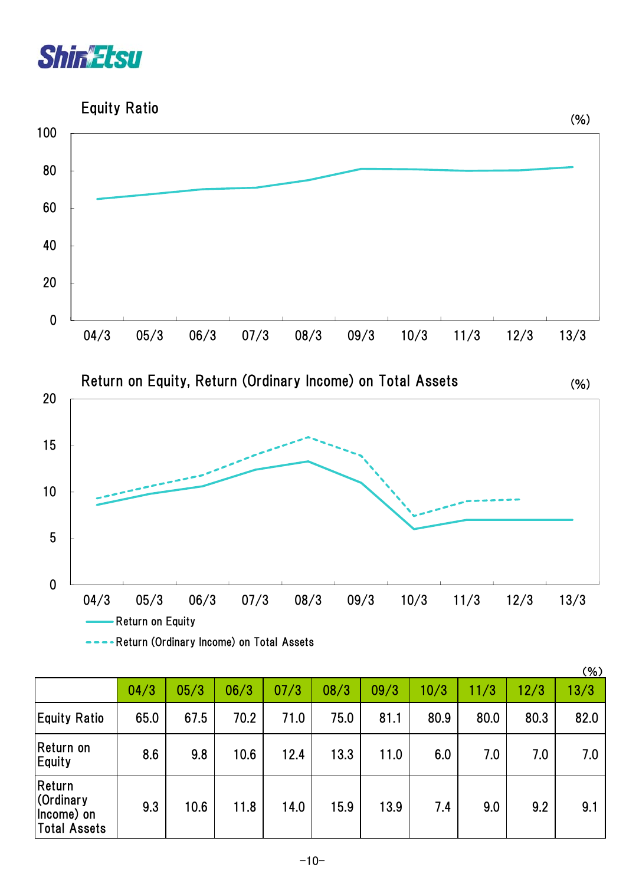



|                                                    |      |      |      |      |      |      |      |      |      | $(\% )$ |
|----------------------------------------------------|------|------|------|------|------|------|------|------|------|---------|
|                                                    | 04/3 | 05/3 | 06/3 | 07/3 | 08/3 | 09/3 | 10/3 | 11/3 | 12/3 | 13/3    |
| <b>Equity Ratio</b>                                | 65.0 | 67.5 | 70.2 | 71.0 | 75.0 | 81.1 | 80.9 | 80.0 | 80.3 | 82.0    |
| Return on<br>Equity                                | 8.6  | 9.8  | 10.6 | 12.4 | 13.3 | 11.0 | 6.0  | 7.0  | 7.0  | 7.0     |
| Return<br>Cordinary<br>Income) on<br> Total Assets | 9.3  | 10.6 | 11.8 | 14.0 | 15.9 | 13.9 | 7.4  | 9.0  | 9.2  | 9.1     |